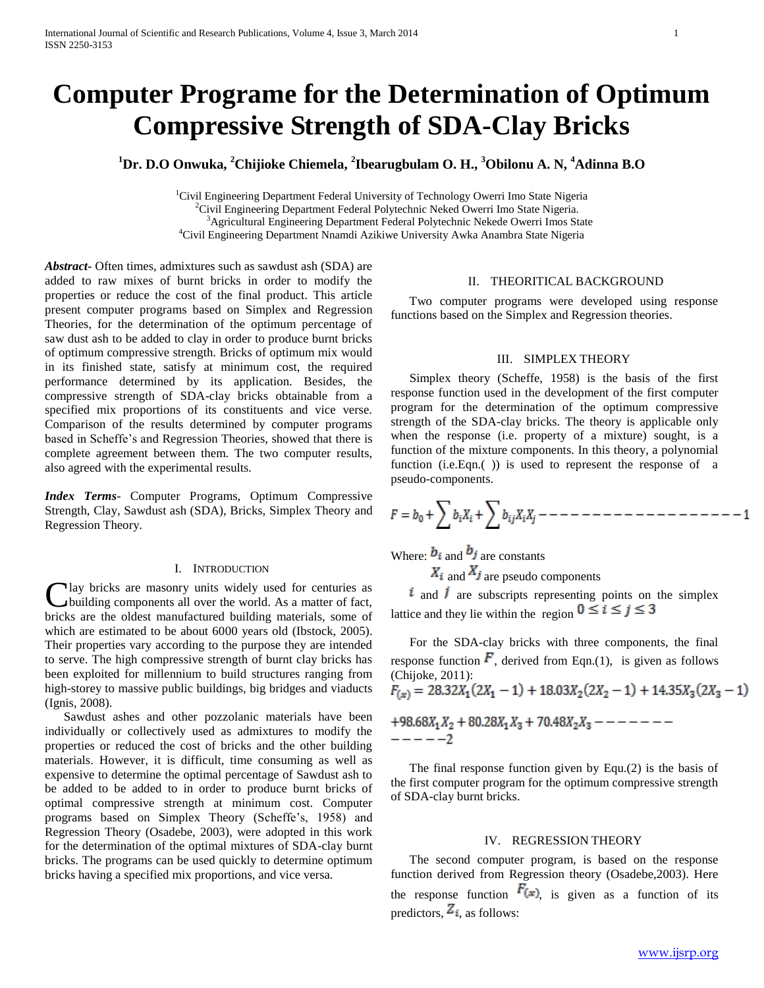# **Computer Programe for the Determination of Optimum Compressive Strength of SDA-Clay Bricks**

**<sup>1</sup>Dr. D.O Onwuka, <sup>2</sup>Chijioke Chiemela, <sup>2</sup> Ibearugbulam O. H., <sup>3</sup>Obilonu A. N, <sup>4</sup>Adinna B.O**

<sup>1</sup>Civil Engineering Department Federal University of Technology Owerri Imo State Nigeria <sup>2</sup>Civil Engineering Department Federal Polytechnic Neked Owerri Imo State Nigeria. <sup>3</sup>Agricultural Engineering Department Federal Polytechnic Nekede Owerri Imos State <sup>4</sup>Civil Engineering Department Nnamdi Azikiwe University Awka Anambra State Nigeria

*Abstract***-** Often times, admixtures such as sawdust ash (SDA) are added to raw mixes of burnt bricks in order to modify the properties or reduce the cost of the final product. This article present computer programs based on Simplex and Regression Theories, for the determination of the optimum percentage of saw dust ash to be added to clay in order to produce burnt bricks of optimum compressive strength. Bricks of optimum mix would in its finished state, satisfy at minimum cost, the required performance determined by its application. Besides, the compressive strength of SDA-clay bricks obtainable from a specified mix proportions of its constituents and vice verse. Comparison of the results determined by computer programs based in Scheffe's and Regression Theories, showed that there is complete agreement between them. The two computer results, also agreed with the experimental results.

*Index Terms*- Computer Programs, Optimum Compressive Strength, Clay, Sawdust ash (SDA), Bricks, Simplex Theory and Regression Theory.

## I. INTRODUCTION

lay bricks are masonry units widely used for centuries as building components all over the world. As a matter of fact, Clay bricks are masonry units widely used for centuries as building components all over the world. As a matter of fact, bricks are the oldest manufactured building materials, some of which are estimated to be about 6000 years old (Ibstock, 2005). Their properties vary according to the purpose they are intended to serve. The high compressive strength of burnt clay bricks has been exploited for millennium to build structures ranging from high-storey to massive public buildings, big bridges and viaducts (Ignis, 2008).

 Sawdust ashes and other pozzolanic materials have been individually or collectively used as admixtures to modify the properties or reduced the cost of bricks and the other building materials. However, it is difficult, time consuming as well as expensive to determine the optimal percentage of Sawdust ash to be added to be added to in order to produce burnt bricks of optimal compressive strength at minimum cost. Computer programs based on Simplex Theory (Scheffe's, 1958) and Regression Theory (Osadebe, 2003), were adopted in this work for the determination of the optimal mixtures of SDA-clay burnt bricks. The programs can be used quickly to determine optimum bricks having a specified mix proportions, and vice versa.

## II. THEORITICAL BACKGROUND

 Two computer programs were developed using response functions based on the Simplex and Regression theories.

### III. SIMPLEX THEORY

 Simplex theory (Scheffe, 1958) is the basis of the first response function used in the development of the first computer program for the determination of the optimum compressive strength of the SDA-clay bricks. The theory is applicable only when the response (i.e. property of a mixture) sought, is a function of the mixture components. In this theory, a polynomial function (i.e. Eqn.() is used to represent the response of a pseudo-components.

Where:  $b_i$  and  $b_j$  are constants

 $X_i$  and  $X_j$  are pseudo components

 $i$  and  $j$  are subscripts representing points on the simplex lattice and they lie within the region  $0 \le i \le j \le 3$ 

 For the SDA-clay bricks with three components, the final response function  $\vec{F}$ , derived from Eqn.(1), is given as follows (Chijoke, 2011):<br> $F_{(x)} = 28.32X_1(2X_1 - 1) + 18.03X_2(2X_2 - 1) + 14.35X_3(2X_3 - 1)$ +98.68 $X_1X_2$  + 80.28 $X_1X_3$  + 70.48 $X_2X_3$  - - - - - - - $- - - - -2$ 

 The final response function given by Equ.(2) is the basis of the first computer program for the optimum compressive strength of SDA-clay burnt bricks.

#### IV. REGRESSION THEORY

 The second computer program, is based on the response function derived from Regression theory (Osadebe,2003). Here the response function  $F(x)$ , is given as a function of its predictors,  $Z_{i}$ , as follows: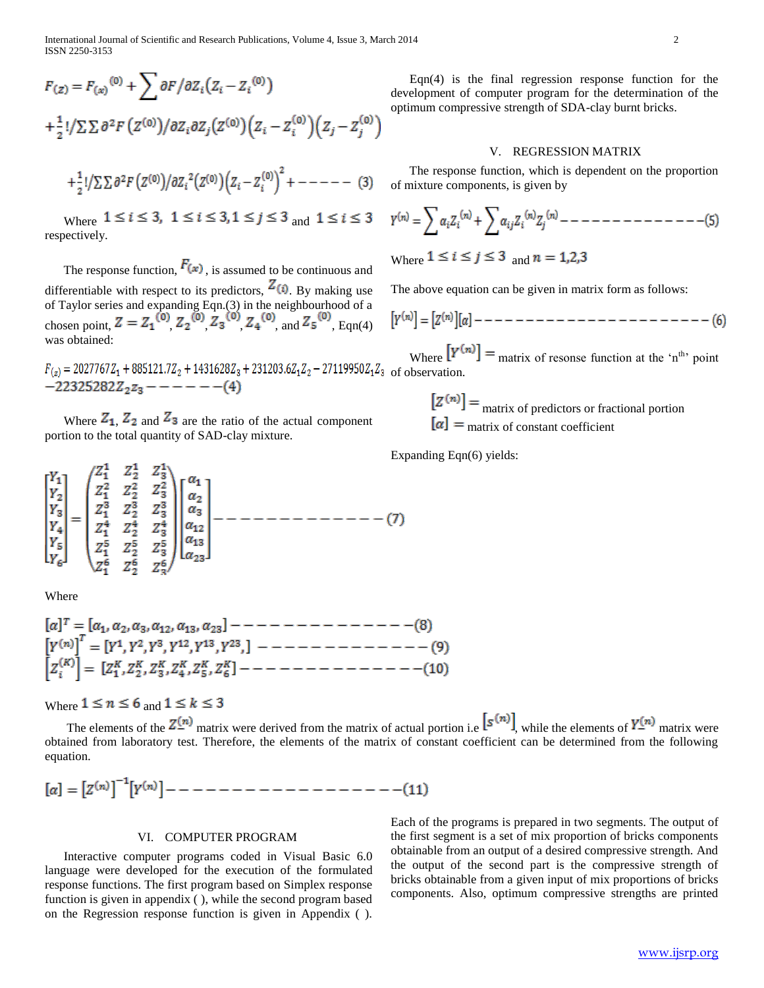International Journal of Scientific and Research Publications, Volume 4, Issue 3, March 2014 2 ISSN 2250-3153

$$
F_{(z)} = F_{(x)}^{(0)} + \sum \partial F / \partial Z_i (Z_i - Z_i^{(0)})
$$
  
+
$$
\frac{1}{2}! / \sum \sum \partial^2 F (Z^{(0)}) / \partial Z_i \partial Z_j (Z^{(0)}) (Z_i - Z_i^{(0)}) (Z_j - Z_j^{(0)})
$$
  
+
$$
\frac{1}{2}! / \sum \sum \partial^2 F (Z^{(0)}) / \partial Z_i^2 (Z^{(0)}) (Z_i - Z_i^{(0)})^2 + --- (3)
$$

Where  $1 \le i \le 3$ ,  $1 \le i \le 3$ ,  $1 \le j \le 3$  and  $1 \le i \le 3$ respectively.

The response function,  $F(x)$ , is assumed to be continuous and differentiable with respect to its predictors,  $Z(\hat{\theta})$ . By making use of Taylor series and expanding Eqn.(3) in the neighbourhood of a chosen point,  $Z = Z_1^{(0)} Z_2^{(0)} Z_3^{(0)} Z_4^{(0)}$  and  $Z_5^{(0)}$ . Eqn(4) was obtained:

$$
F_{(z)} = 2027767Z_1 + 885121.7Z_2 + 1431628Z_3 + 231203.6Z_1Z_2 - 27119950Z_1Z_3
$$
 of o  
-22325282Z<sub>2</sub>Z<sub>3</sub> - - - - - (4)

Where  $Z_1$ ,  $Z_2$  and  $Z_3$  are the ratio of the actual component portion to the total quantity of SAD-clay mixture.

Where

Where  $1 \le n \le 6$  and  $1 \le k \le 3$ 

The elements of the  $Z_{\perp}^{(n)}$  matrix were derived from the matrix of actual portion i.e  $[S_{(n)}]$ , while the elements of  $Y_{\perp}^{(n)}$  matrix were obtained from laboratory test. Therefore, the elements of the matrix of constant coefficient can be determined from the following equation.

Eqn(4) is the final regression response function for the development of computer program for the determination of the optimum compressive strength of SDA-clay burnt bricks.

#### V. REGRESSION MATRIX

 The response function, which is dependent on the proportion of mixture components, is given by

Where  $1 \le i \le j \le 3$  and  $n = 1,2,3$ 

The above equation can be given in matrix form as follows:

$$
[Y^{(n)}] = [Z^{(n)}][\alpha] - \cdots - \cdots - \cdots - \cdots - \cdots - \cdots - \cdots - \cdots - (6)
$$

Where  $[Y^{(n)}]$  = matrix of resonse function at the 'n<sup>th</sup>' point bservation

 $[Z^{(n)}]$  = <sub>matrix</sub> of predictors or fractional portion  $\alpha$  = matrix of constant coefficient

Expanding Eqn(6) yields:

# VI. COMPUTER PROGRAM

 Interactive computer programs coded in Visual Basic 6.0 language were developed for the execution of the formulated response functions. The first program based on Simplex response function is given in appendix ( ), while the second program based on the Regression response function is given in Appendix ( ).

Each of the programs is prepared in two segments. The output of the first segment is a set of mix proportion of bricks components obtainable from an output of a desired compressive strength. And the output of the second part is the compressive strength of bricks obtainable from a given input of mix proportions of bricks components. Also, optimum compressive strengths are printed